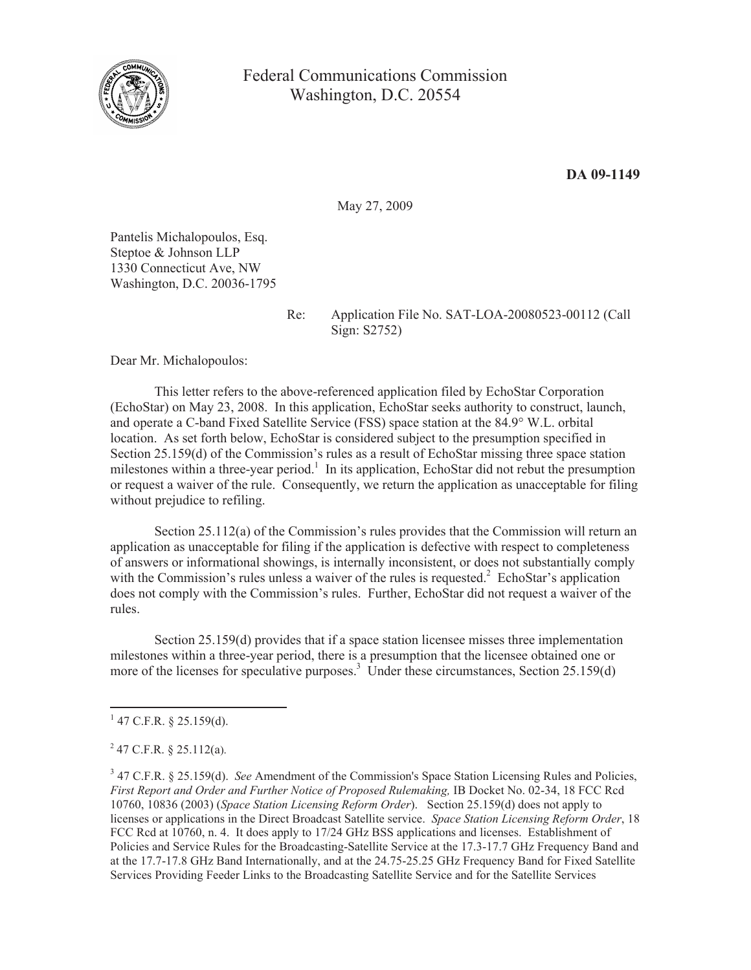

May 27, 2009

Pantelis Michalopoulos, Esq. Steptoe & Johnson LLP 1330 Connecticut Ave, NW Washington, D.C. 20036-1795

Re: Application File No. SAT-LOA-20080523-00112 (Call Sign: S2752)

Dear Mr. Michalopoulos:

This letter refers to the above-referenced application filed by EchoStar Corporation (EchoStar) on May 23, 2008. In this application, EchoStar seeks authority to construct, launch, and operate a C-band Fixed Satellite Service (FSS) space station at the 84.9° W.L. orbital location. As set forth below, EchoStar is considered subject to the presumption specified in Section 25.159(d) of the Commission's rules as a result of EchoStar missing three space station milestones within a three-year period.<sup>1</sup> In its application, EchoStar did not rebut the presumption or request a waiver of the rule. Consequently, we return the application as unacceptable for filing without prejudice to refiling.

Section 25.112(a) of the Commission's rules provides that the Commission will return an application as unacceptable for filing if the application is defective with respect to completeness of answers or informational showings, is internally inconsistent, or does not substantially comply with the Commission's rules unless a waiver of the rules is requested.<sup>2</sup> EchoStar's application does not comply with the Commission's rules. Further, EchoStar did not request a waiver of the rules.

Section 25.159(d) provides that if a space station licensee misses three implementation milestones within a three-year period, there is a presumption that the licensee obtained one or more of the licenses for speculative purposes.<sup>3</sup> Under these circumstances, Section 25.159(d)

 $247$  C.F.R. § 25.112(a).

 $1$  47 C.F.R. § 25.159(d).

<sup>&</sup>lt;sup>3</sup> 47 C.F.R. § 25.159(d). *See* Amendment of the Commission's Space Station Licensing Rules and Policies, *First Report and Order and Further Notice of Proposed Rulemaking,* IB Docket No. 02-34, 18 FCC Rcd 10760, 10836 (2003) (*Space Station Licensing Reform Order*). Section 25.159(d) does not apply to licenses or applications in the Direct Broadcast Satellite service. *Space Station Licensing Reform Order*, 18 FCC Rcd at 10760, n. 4. It does apply to 17/24 GHz BSS applications and licenses. Establishment of Policies and Service Rules for the Broadcasting-Satellite Service at the 17.3-17.7 GHz Frequency Band and at the 17.7-17.8 GHz Band Internationally, and at the 24.75-25.25 GHz Frequency Band for Fixed Satellite Services Providing Feeder Links to the Broadcasting Satellite Service and for the Satellite Services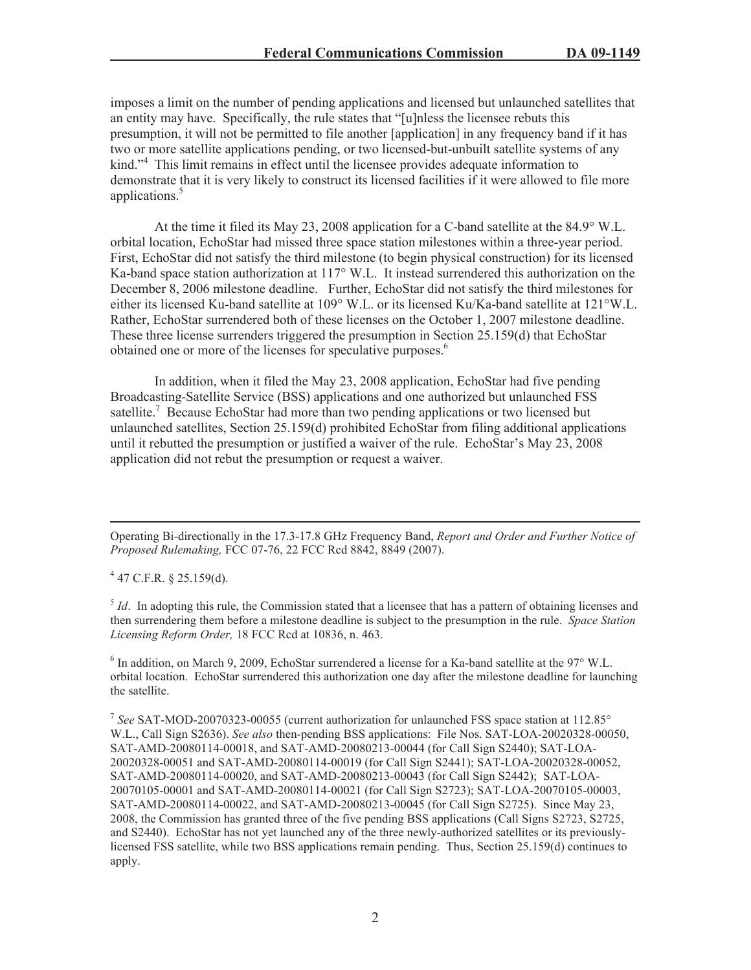imposes a limit on the number of pending applications and licensed but unlaunched satellites that an entity may have. Specifically, the rule states that "[u]nless the licensee rebuts this presumption, it will not be permitted to file another [application] in any frequency band if it has two or more satellite applications pending, or two licensed-but-unbuilt satellite systems of any kind."<sup>4</sup> This limit remains in effect until the licensee provides adequate information to demonstrate that it is very likely to construct its licensed facilities if it were allowed to file more applications.<sup>5</sup>

At the time it filed its May 23, 2008 application for a C-band satellite at the 84.9° W.L. orbital location, EchoStar had missed three space station milestones within a three-year period. First, EchoStar did not satisfy the third milestone (to begin physical construction) for its licensed Ka-band space station authorization at 117° W.L. It instead surrendered this authorization on the December 8, 2006 milestone deadline. Further, EchoStar did not satisfy the third milestones for either its licensed Ku-band satellite at 109° W.L. or its licensed Ku/Ka-band satellite at 121°W.L. Rather, EchoStar surrendered both of these licenses on the October 1, 2007 milestone deadline. These three license surrenders triggered the presumption in Section 25.159(d) that EchoStar obtained one or more of the licenses for speculative purposes.<sup>6</sup>

In addition, when it filed the May 23, 2008 application, EchoStar had five pending Broadcasting-Satellite Service (BSS) applications and one authorized but unlaunched FSS satellite.<sup>7</sup> Because EchoStar had more than two pending applications or two licensed but unlaunched satellites, Section 25.159(d) prohibited EchoStar from filing additional applications until it rebutted the presumption or justified a waiver of the rule. EchoStar's May 23, 2008 application did not rebut the presumption or request a waiver.

Operating Bi-directionally in the 17.3-17.8 GHz Frequency Band, *Report and Order and Further Notice of Proposed Rulemaking,* FCC 07-76, 22 FCC Rcd 8842, 8849 (2007).

 $4$  47 C.F.R. § 25.159(d).

<sup>5</sup> *Id*. In adopting this rule, the Commission stated that a licensee that has a pattern of obtaining licenses and then surrendering them before a milestone deadline is subject to the presumption in the rule. *Space Station Licensing Reform Order,* 18 FCC Rcd at 10836, n. 463.

<sup>6</sup> In addition, on March 9, 2009, EchoStar surrendered a license for a Ka-band satellite at the 97° W.L. orbital location. EchoStar surrendered this authorization one day after the milestone deadline for launching the satellite.

7 *See* SAT-MOD-20070323-00055 (current authorization for unlaunched FSS space station at 112.85° W.L., Call Sign S2636). *See also* then-pending BSS applications: File Nos. SAT-LOA-20020328-00050, SAT-AMD-20080114-00018, and SAT-AMD-20080213-00044 (for Call Sign S2440); SAT-LOA-20020328-00051 and SAT-AMD-20080114-00019 (for Call Sign S2441); SAT-LOA-20020328-00052, SAT-AMD-20080114-00020, and SAT-AMD-20080213-00043 (for Call Sign S2442); SAT-LOA-20070105-00001 and SAT-AMD-20080114-00021 (for Call Sign S2723); SAT-LOA-20070105-00003, SAT-AMD-20080114-00022, and SAT-AMD-20080213-00045 (for Call Sign S2725). Since May 23, 2008, the Commission has granted three of the five pending BSS applications (Call Signs S2723, S2725, and S2440). EchoStar has not yet launched any of the three newly-authorized satellites or its previouslylicensed FSS satellite, while two BSS applications remain pending. Thus, Section 25.159(d) continues to apply.